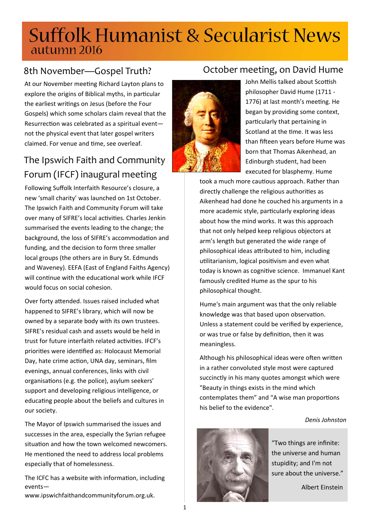# **Suffolk Humanist & Secularist News** autumn 2016

At our November meeting Richard Layton plans to explore the origins of Biblical myths, in particular the earliest writings on Jesus (before the Four Gospels) which some scholars claim reveal that the Resurrection was celebrated as a spiritual eventnot the physical event that later gospel writers claimed. For venue and time, see overleaf.

## The Ipswich Faith and Community Forum (IFCF) inaugural meeting

Following Suffolk Interfaith Resource's closure, a new 'small charity' was launched on 1st October. The Ipswich Faith and Community Forum will take over many of SIFRE's local activities. Charles Jenkin summarised the events leading to the change; the background, the loss of SIFRE's accommodation and funding, and the decision to form three smaller local groups (the others are in Bury St. Edmunds and Waveney). EEFA (East of England Faiths Agency) will continue with the educational work while IFCF would focus on social cohesion.

Over forty attended. Issues raised included what happened to SIFRE's library, which will now be owned by a separate body with its own trustees. SIFRE's residual cash and assets would be held in trust for future interfaith related activities. IFCF's priorities were identified as: Holocaust Memorial Day, hate crime action, UNA day, seminars, film evenings, annual conferences, links with civil organisations (e.g. the police), asylum seekers' support and developing religious intelligence, or educating people about the beliefs and cultures in our society.

The Mayor of Ipswich summarised the issues and successes in the area, especially the Syrian refugee situation and how the town welcomed newcomers. He mentioned the need to address local problems especially that of homelessness.

The ICFC has a website with information, including events—

www.ipswichfaithandcommunityforum.org.uk.

### 8th November—Gospel Truth? October meeting, on David Hume

John Mellis talked about Scottish philosopher David Hume (1711 ‐ 1776) at last month's meeting. He began by providing some context, particularly that pertaining in Scotland at the time. It was less than fifteen years before Hume was born that Thomas Aikenhead, an Edinburgh student, had been executed for blasphemy. Hume

took a much more cautious approach. Rather than directly challenge the religious authorities as Aikenhead had done he couched his arguments in a more academic style, particularly exploring ideas about how the mind works. It was this approach that not only helped keep religious objectors at arm's length but generated the wide range of philosophical ideas attributed to him, including utilitarianism, logical positivism and even what today is known as cognitive science. Immanuel Kant famously credited Hume as the spur to his philosophical thought.

Hume's main argument was that the only reliable knowledge was that based upon observation. Unless a statement could be verified by experience, or was true or false by definition, then it was meaningless.

Although his philosophical ideas were often written in a rather convoluted style most were captured succinctly in his many quotes amongst which were "Beauty in things exists in the mind which contemplates them" and "A wise man proportions his belief to the evidence".

#### *Denis Johnston*



"Two things are infinite: the universe and human stupidity; and I'm not sure about the universe."

Albert Einstein